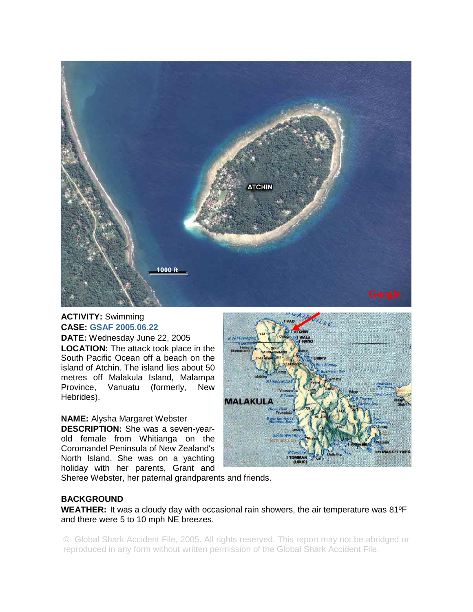

## **ACTIVITY:** Swimming **CASE: GSAF 2005.06.22**

**DATE:** Wednesday June 22, 2005 **LOCATION:** The attack took place in the South Pacific Ocean off a beach on the island of Atchin. The island lies about 50 metres off Malakula Island, Malampa Province, Vanuatu (formerly, New Hebrides).

## **NAME:** Alysha Margaret Webster

**DESCRIPTION:** She was a seven-yearold female from Whitianga on the Coromandel Peninsula of New Zealand's North Island. She was on a yachting holiday with her parents, Grant and



Sheree Webster, her paternal grandparents and friends.

## **BACKGROUND**

**WEATHER:** It was a cloudy day with occasional rain showers, the air temperature was 81ºF and there were 5 to 10 mph NE breezes.

© Global Shark Accident File, 2005. All rights reserved. This report may not be abridged or reproduced in any form without written permission of the Global Shark Accident File.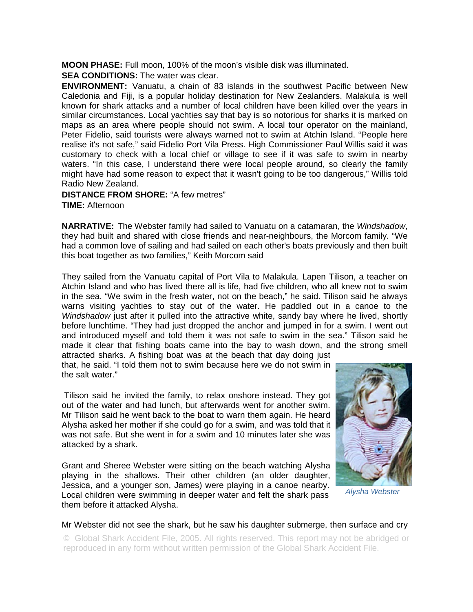**MOON PHASE:** Full moon, 100% of the moon's visible disk was illuminated.

**SEA CONDITIONS:** The water was clear.

**ENVIRONMENT:** Vanuatu, a chain of 83 islands in the southwest Pacific between New Caledonia and Fiji, is a popular holiday destination for New Zealanders. Malakula is well known for shark attacks and a number of local children have been killed over the years in similar circumstances. Local yachties say that bay is so notorious for sharks it is marked on maps as an area where people should not swim. A local tour operator on the mainland, Peter Fidelio, said tourists were always warned not to swim at Atchin Island. "People here realise it's not safe," said Fidelio Port Vila Press. High Commissioner Paul Willis said it was customary to check with a local chief or village to see if it was safe to swim in nearby waters. "In this case, I understand there were local people around, so clearly the family might have had some reason to expect that it wasn't going to be too dangerous," Willis told Radio New Zealand.

## **DISTANCE FROM SHORE:** "A few metres"

**TIME:** Afternoon

**NARRATIVE:** The Webster family had sailed to Vanuatu on a catamaran, the *Windshadow*, they had built and shared with close friends and near-neighbours, the Morcom family. "We had a common love of sailing and had sailed on each other's boats previously and then built this boat together as two families," Keith Morcom said

They sailed from the Vanuatu capital of Port Vila to Malakula. Lapen Tilison, a teacher on Atchin Island and who has lived there all is life, had five children, who all knew not to swim in the sea. "We swim in the fresh water, not on the beach," he said. Tilison said he always warns visiting yachties to stay out of the water. He paddled out in a canoe to the *Windshadow* just after it pulled into the attractive white, sandy bay where he lived, shortly before lunchtime. "They had just dropped the anchor and jumped in for a swim. I went out and introduced myself and told them it was not safe to swim in the sea." Tilison said he made it clear that fishing boats came into the bay to wash down, and the strong smell attracted sharks. A fishing boat was at the beach that day doing just

that, he said. "I told them not to swim because here we do not swim in the salt water."

 Tilison said he invited the family, to relax onshore instead. They got out of the water and had lunch, but afterwards went for another swim. Mr Tilison said he went back to the boat to warn them again. He heard Alysha asked her mother if she could go for a swim, and was told that it was not safe. But she went in for a swim and 10 minutes later she was attacked by a shark.

Grant and Sheree Webster were sitting on the beach watching Alysha playing in the shallows. Their other children (an older daughter, Jessica, and a younger son, James) were playing in a canoe nearby. Local children were swimming in deeper water and felt the shark pass them before it attacked Alysha.



*Alysha Webster* 

Mr Webster did not see the shark, but he saw his daughter submerge, then surface and cry

© Global Shark Accident File, 2005. All rights reserved. This report may not be abridged or reproduced in any form without written permission of the Global Shark Accident File.